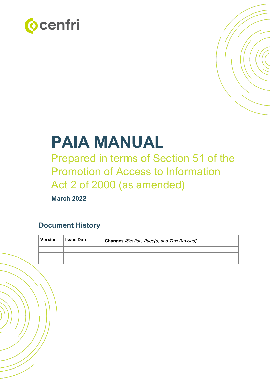



# **PAIA MANUAL**

Prepared in terms of Section 51 of the Promotion of Access to Information Act 2 of 2000 (as amended)

**March 2022**

# **Document History**

| Version | <b>Issue Date</b> | Changes [Section, Page(s) and Text Revised] |  |
|---------|-------------------|---------------------------------------------|--|
|         |                   |                                             |  |
|         |                   |                                             |  |
|         |                   |                                             |  |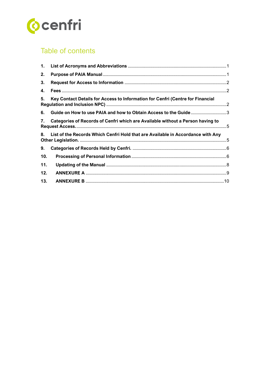

# Table of contents

| 2.  |                                                                                 |  |
|-----|---------------------------------------------------------------------------------|--|
| 3.  |                                                                                 |  |
| 4.  |                                                                                 |  |
| 5.  | Key Contact Details for Access to Information for Cenfri (Centre for Financial  |  |
| 6.  | Guide on How to use PAIA and how to Obtain Access to the Guide3                 |  |
| 7.  | Categories of Records of Cenfri which are Available without a Person having to  |  |
| 8.  | List of the Records Which Cenfri Hold that are Available in Accordance with Any |  |
| 9.  |                                                                                 |  |
| 10. |                                                                                 |  |
| 11. |                                                                                 |  |
| 12. |                                                                                 |  |
| 13. |                                                                                 |  |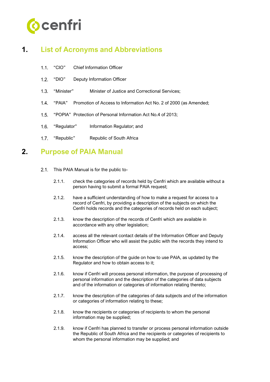

# <span id="page-2-0"></span>**1. List of Acronyms and Abbreviations**

- "CIO" Chief Information Officer  $1.1.$
- 1.2. "DIO" Deputy Information Officer
- 1.3. "Minister" Minister of Justice and Correctional Services;
- "PAIA" Promotion of Access to Information Act No. 2 of 2000 (as Amended;  $1.4.$
- $1.5.$ "POPIA" Protection of Personal Information Act No.4 of 2013;
- 1.6. "Regulator" Information Regulator; and
- <span id="page-2-1"></span>1.7. "Republic" Republic of South Africa

## **2. Purpose of PAIA Manual**

- 2.1. This PAIA Manual is for the public to-
	- 2.1.1. check the categories of records held by Cenfri which are available without a person having to submit a formal PAIA request;
	- 2.1.2. have a sufficient understanding of how to make a request for access to a record of Cenfri, by providing a description of the subjects on which the Cenfri holds records and the categories of records held on each subject;
	- 2.1.3. know the description of the records of Cenfri which are available in accordance with any other legislation;
	- 2.1.4. access all the relevant contact details of the Information Officer and Deputy Information Officer who will assist the public with the records they intend to access;
	- 2.1.5. know the description of the guide on how to use PAIA, as updated by the Regulator and how to obtain access to it;
	- 2.1.6. know if Cenfri will process personal information, the purpose of processing of personal information and the description of the categories of data subjects and of the information or categories of information relating thereto;
	- 2.1.7. know the description of the categories of data subjects and of the information or categories of information relating to these;
	- 2.1.8. know the recipients or categories of recipients to whom the personal information may be supplied;
	- 2.1.9. know if Cenfri has planned to transfer or process personal information outside the Republic of South Africa and the recipients or categories of recipients to whom the personal information may be supplied; and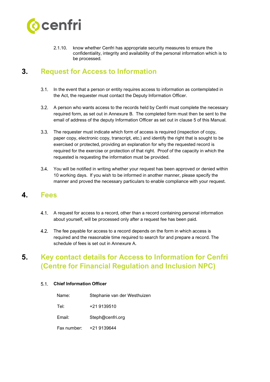

2.1.10. know whether Cenfri has appropriate security measures to ensure the confidentiality, integrity and availability of the personal information which is to be processed.

# <span id="page-3-0"></span>**3. Request for Access to Information**

- 3.1. In the event that a person or entity requires access to information as contemplated in the Act, the requester must contact the Deputy Information Officer.
- A person who wants access to the records held by Cenfri must complete the necessary required form, as set out in Annexure B. The completed form must then be sent to the email of address of the deputy Information Officer as set out in clause 5 of this Manual.
- $3.3.$ The requester must indicate which form of access is required (inspection of copy, paper copy, electronic copy, transcript, etc.) and identify the right that is sought to be exercised or protected, providing an explanation for why the requested record is required for the exercise or protection of that right. Proof of the capacity in which the requested is requesting the information must be provided.
- 3.4. You will be notified in writing whether your request has been approved or denied within 10 working days. If you wish to be informed in another manner, please specify the manner and proved the necessary particulars to enable compliance with your request.

#### <span id="page-3-1"></span>**4. Fees**

- A request for access to a record, other than a record containing personal information about yourself, will be processed only after a request fee has been paid.
- $4.2.$ The fee payable for access to a record depends on the form in which access is required and the reasonable time required to search for and prepare a record. The schedule of fees is set out in Annexure A.

# <span id="page-3-2"></span>**5. Key contact details for Access to Information for Cenfri (Centre for Financial Regulation and Inclusion NPC)**

#### **Chief Information Officer**

| Name:       | Stephanie van der Westhuizen |
|-------------|------------------------------|
| Tel:        | +21 9139510                  |
| Email:      | Steph@cenfri.org             |
| Fax number: | +21 9139644                  |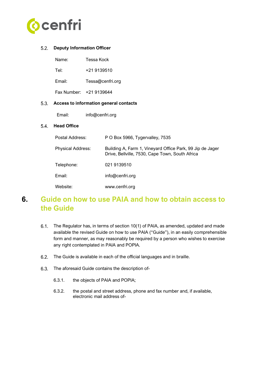

#### **Deputy Information Officer**

| Name:  | Tessa Kock              |
|--------|-------------------------|
| Tel:   | +21 9139510             |
| Email: | Tessa@cenfri.org        |
|        | Fax Number: +21 9139644 |

#### **Access to information general contacts**

Email: info@cenfri.org

#### 5.4. **Head Office**

| Postal Address:          | P O Box 5966, Tygervalley, 7535                                                                              |
|--------------------------|--------------------------------------------------------------------------------------------------------------|
| <b>Physical Address:</b> | Building A, Farm 1, Vineyard Office Park, 99 Jip de Jager<br>Drive, Bellville, 7530, Cape Town, South Africa |
| Telephone:               | 021 9139510                                                                                                  |
| Email:                   | info@cenfri.org                                                                                              |
| Website:                 | www.cenfri.org                                                                                               |

## <span id="page-4-0"></span>**6. Guide on how to use PAIA and how to obtain access to the Guide**

- The Regulator has, in terms of section 10(1) of PAIA, as amended, updated and made available the revised Guide on how to use PAIA ("Guide"), in an easily comprehensible form and manner, as may reasonably be required by a person who wishes to exercise any right contemplated in PAIA and POPIA.
- The Guide is available in each of the official languages and in braille.
- 6.3. The aforesaid Guide contains the description of-
	- 6.3.1. the objects of PAIA and POPIA;
	- 6.3.2. the postal and street address, phone and fax number and, if available, electronic mail address of-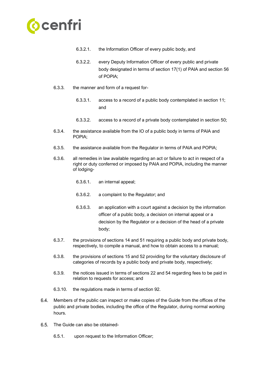

- 6.3.2.1. the Information Officer of every public body, and
- 6.3.2.2. every Deputy Information Officer of every public and private body designated in terms of section 17(1) of PAIA and section 56 of POPIA;
- 6.3.3. the manner and form of a request for-
	- 6.3.3.1. access to a record of a public body contemplated in section 11; and
	- 6.3.3.2. access to a record of a private body contemplated in section 50;
- 6.3.4. the assistance available from the IO of a public body in terms of PAIA and POPIA;
- 6.3.5. the assistance available from the Regulator in terms of PAIA and POPIA;
- 6.3.6. all remedies in law available regarding an act or failure to act in respect of a right or duty conferred or imposed by PAIA and POPIA, including the manner of lodging-
	- 6.3.6.1. an internal appeal;
	- 6.3.6.2. a complaint to the Regulator; and
	- 6.3.6.3. an application with a court against a decision by the information officer of a public body, a decision on internal appeal or a decision by the Regulator or a decision of the head of a private body;
- 6.3.7. the provisions of sections 14 and 51 requiring a public body and private body, respectively, to compile a manual, and how to obtain access to a manual;
- 6.3.8. the provisions of sections 15 and 52 providing for the voluntary disclosure of categories of records by a public body and private body, respectively;
- 6.3.9. the notices issued in terms of sections 22 and 54 regarding fees to be paid in relation to requests for access; and
- 6.3.10. the regulations made in terms of section 92.
- $6.4.$ Members of the public can inspect or make copies of the Guide from the offices of the public and private bodies, including the office of the Regulator, during normal working hours.
- 6.5. The Guide can also be obtained-
	- 6.5.1. upon request to the Information Officer;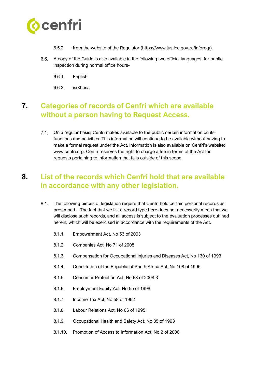

- 6.5.2. from the website of the Regulator (https://www.justice.gov.za/inforeg/).
- $6.6.$ A copy of the Guide is also available in the following two official languages, for public inspection during normal office hours-
	- 6.6.1. English
	- 6.6.2. isiXhosa

# <span id="page-6-0"></span>**7. Categories of records of Cenfri which are available without a person having to Request Access.**

 $7.1$ . On a regular basis, Cenfri makes available to the public certain information on its functions and activities. This information will continue to be available without having to make a formal request under the Act. Information is also available on Cenfri's website: www.cenfri.org. Cenfri reserves the right to charge a fee in terms of the Act for requests pertaining to information that falls outside of this scope.

# <span id="page-6-1"></span>**8. List of the records which Cenfri hold that are available in accordance with any other legislation.**

- $8.1.$ The following pieces of legislation require that Cenfri hold certain personal records as prescribed. The fact that we list a record type here does not necessarily mean that we will disclose such records, and all access is subject to the evaluation processes outlined herein, which will be exercised in accordance with the requirements of the Act.
	- 8.1.1. Empowerment Act, No 53 of 2003
	- 8.1.2. Companies Act, No 71 of 2008
	- 8.1.3. Compensation for Occupational Injuries and Diseases Act, No 130 of 1993
	- 8.1.4. Constitution of the Republic of South Africa Act, No 108 of 1996
	- 8.1.5. Consumer Protection Act, No 68 of 2008 3
	- 8.1.6. Employment Equity Act, No 55 of 1998
	- 8.1.7. Income Tax Act, No 58 of 1962
	- 8.1.8. Labour Relations Act, No 66 of 1995
	- 8.1.9. Occupational Health and Safety Act, No 85 of 1993
	- 8.1.10. Promotion of Access to Information Act, No 2 of 2000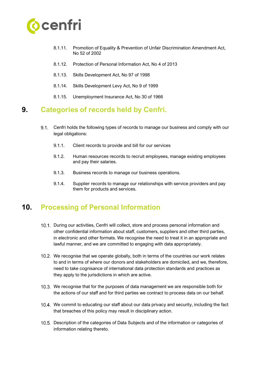

- 8.1.11. Promotion of Equality & Prevention of Unfair Discrimination Amendment Act, No 52 of 2002
- 8.1.12. Protection of Personal Information Act, No 4 of 2013
- 8.1.13. Skills Development Act, No 97 of 1998
- 8.1.14. Skills Development Levy Act, No 9 of 1999
- <span id="page-7-0"></span>8.1.15. Unemployment Insurance Act, No 30 of 1966

### **9. Categories of records held by Cenfri.**

- $9.1.$ Cenfri holds the following types of records to manage our business and comply with our legal obligations:
	- 9.1.1. Client records to provide and bill for our services
	- 9.1.2. Human resources records to recruit employees, manage existing employees and pay their salaries.
	- 9.1.3. Business records to manage our business operations.
	- 9.1.4. Supplier records to manage our relationships with service providers and pay them for products and services.

## <span id="page-7-1"></span>**10. Processing of Personal Information**

- 10.1. During our activities, Cenfri will collect, store and process personal information and other confidential information about staff, customers, suppliers and other third parties, in electronic and other formats. We recognise the need to treat it in an appropriate and lawful manner, and we are committed to engaging with data appropriately.
- 10.2. We recognise that we operate globally, both in terms of the countries our work relates to and in terms of where our donors and stakeholders are domiciled, and we, therefore, need to take cognisance of international data protection standards and practices as they apply to the jurisdictions in which are active.
- 10.3. We recognise that for the purposes of data management we are responsible both for the actions of our staff and for third parties we contract to process data on our behalf.
- 10.4. We commit to educating our staff about our data privacy and security, including the fact that breaches of this policy may result in disciplinary action.
- 10.5. Description of the categories of Data Subjects and of the information or categories of information relating thereto.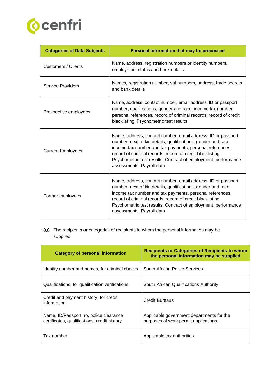

| <b>Categories of Data Subjects</b> | Personal Information that may be processed                                                                                                                                                                                                                                                                                                             |  |
|------------------------------------|--------------------------------------------------------------------------------------------------------------------------------------------------------------------------------------------------------------------------------------------------------------------------------------------------------------------------------------------------------|--|
| <b>Customers / Clients</b>         | Name, address, registration numbers or identity numbers,<br>employment status and bank details                                                                                                                                                                                                                                                         |  |
| <b>Service Providers</b>           | Names, registration number, vat numbers, address, trade secrets<br>and bank details                                                                                                                                                                                                                                                                    |  |
| Prospective employees              | Name, address, contact number, email address, ID or passport<br>number, qualifications, gender and race, income tax number,<br>personal references, record of criminal records, record of credit<br>blacklisting, Psychometric test results                                                                                                            |  |
| <b>Current Employees</b>           | Name, address, contact number, email address, ID or passport<br>number, next of kin details, qualifications, gender and race,<br>income tax number and tax payments, personal references,<br>record of criminal records, record of credit blacklisting,<br>Psychometric test results, Contract of employment, performance<br>assessments, Payroll data |  |
| Former employees                   | Name, address, contact number, email address, ID or passport<br>number, next of kin details, qualifications, gender and race,<br>income tax number and tax payments, personal references,<br>record of criminal records, record of credit blacklisting,<br>Psychometric test results, Contract of employment, performance<br>assessments, Payroll data |  |

10.6. The recipients or categories of recipients to whom the personal information may be supplied

| <b>Category of personal information</b>                                                | <b>Recipients or Categories of Recipients to whom</b><br>the personal information may be supplied |
|----------------------------------------------------------------------------------------|---------------------------------------------------------------------------------------------------|
| Identity number and names, for criminal checks                                         | South African Police Services                                                                     |
| Qualifications, for qualification verifications                                        | South African Qualifications Authority                                                            |
| Credit and payment history, for credit<br>information                                  | Credit Bureaus                                                                                    |
| Name, ID/Passport no, police clearance<br>certificates, qualifications, credit history | Applicable government departments for the<br>purposes of work permit applications.                |
| Tax number                                                                             | Applicable tax authorities.                                                                       |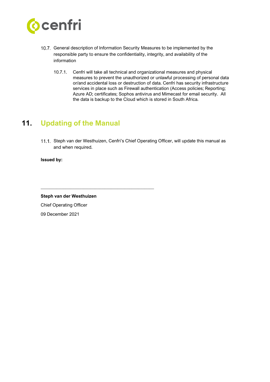

- 10.7. General description of Information Security Measures to be implemented by the responsible party to ensure the confidentiality, integrity, and availability of the information
	- 10.7.1. Cenfri will take all technical and organizational measures and physical measures to prevent the unauthorized or unlawful processing of personal data or/and accidental loss or destruction of data. Cenfri has security infrastructure services in place such as Firewall authentication (Access policies; Reporting; Azure AD; certificates; Sophos antivirus and Mimecast for email security. All the data is backup to the Cloud which is stored in South Africa.

# <span id="page-9-0"></span>**11. Updating of the Manual**

11.1. Steph van der Westhuizen, Cenfri's Chief Operating Officer, will update this manual as and when required.

**Issued by:**

**Steph van der Westhuizen**

\_\_\_\_\_\_\_\_\_\_\_\_\_\_\_\_\_\_\_\_\_\_\_\_\_\_\_\_\_\_\_\_\_\_\_\_\_\_\_\_\_\_\_\_\_\_\_\_\_\_

Chief Operating Officer 09 December 2021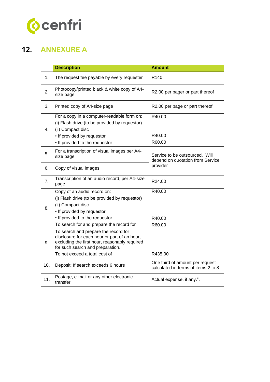

# <span id="page-10-0"></span>**12. ANNEXURE A**

|     | <b>Description</b>                                                                                                                                                                                            | <b>Amount</b>                                                           |
|-----|---------------------------------------------------------------------------------------------------------------------------------------------------------------------------------------------------------------|-------------------------------------------------------------------------|
| 1.  | The request fee payable by every requester                                                                                                                                                                    | R <sub>140</sub>                                                        |
| 2.  | Photocopy/printed black & white copy of A4-<br>size page                                                                                                                                                      | R2.00 per pager or part thereof                                         |
| 3.  | Printed copy of A4-size page                                                                                                                                                                                  | R2.00 per page or part thereof                                          |
| 4.  | For a copy in a computer-readable form on:<br>(i) Flash drive (to be provided by requestor)<br>(ii) Compact disc<br>• If provided by requestor<br>• If provided to the requestor                              | R40.00<br>R40.00<br>R60.00                                              |
| 5.  | For a transcription of visual images per A4-<br>size page                                                                                                                                                     | Service to be outsourced. Will<br>depend on quotation from Service      |
| 6.  | Copy of visual images                                                                                                                                                                                         | provider                                                                |
| 7.  | Transcription of an audio record, per A4-size<br>page                                                                                                                                                         | R24.00                                                                  |
| 8.  | Copy of an audio record on:<br>(i) Flash drive (to be provided by requestor)<br>(ii) Compact disc<br>• If provided by requestor<br>• If provided to the requestor<br>To search for and prepare the record for | R40.00<br>R40.00<br>R60.00                                              |
| 9.  | To search and prepare the record for<br>disclosure for each hour or part of an hour,<br>excluding the first hour, reasonably required<br>for such search and preparation.<br>To not exceed a total cost of    | R435.00                                                                 |
| 10. | Deposit: If search exceeds 6 hours                                                                                                                                                                            | One third of amount per request<br>calculated in terms of items 2 to 8. |
| 11. | Postage, e-mail or any other electronic<br>transfer                                                                                                                                                           | Actual expense, if any.".                                               |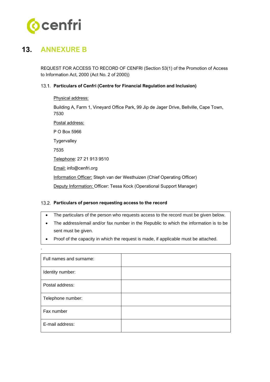

# <span id="page-11-0"></span>**13. ANNEXURE B**

.

REQUEST FOR ACCESS TO RECORD OF CENFRI (Section 53(1) of the Promotion of Access to Information Act, 2000 (Act No. 2 of 2000))

#### **Particulars of Cenfri (Centre for Financial Regulation and Inclusion)**

Physical address:

Building A, Farm 1, Vineyard Office Park, 99 Jip de Jager Drive, Bellville, Cape Town, 7530

Postal address: P O Box 5966 **Tygervalley** 7535 Telephone: 27 21 913 9510 Email: info@cenfri.org Information Officer: Steph van der Westhuizen (Chief Operating Officer) Deputy Information: Officer: Tessa Kock (Operational Support Manager)

#### **Particulars of person requesting access to the record**

- The particulars of the person who requests access to the record must be given below.
- The address/email and/or fax number in the Republic to which the information is to be sent must be given.
- Proof of the capacity in which the request is made, if applicable must be attached.

| Full names and surname: |  |
|-------------------------|--|
| Identity number:        |  |
| Postal address:         |  |
| Telephone number:       |  |
| Fax number              |  |
| E-mail address:         |  |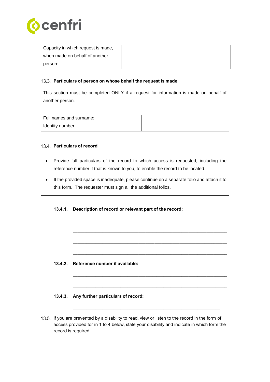

| Capacity in which request is made, |  |
|------------------------------------|--|
| when made on behalf of another     |  |
| person:                            |  |

#### **Particulars of person on whose behalf the request is made**

This section must be completed ONLY if a request for information is made on behalf of another person.

| l Full names and surname: |  |
|---------------------------|--|
| Identity number:          |  |

#### **Particulars of record**

- Provide full particulars of the record to which access is requested, including the reference number if that is known to you, to enable the record to be located.
- It the provided space is inadequate, please continue on a separate folio and attach it to this form. The requester must sign all the additional folios.

\_\_\_\_\_\_\_\_\_\_\_\_\_\_\_\_\_\_\_\_\_\_\_\_\_\_\_\_\_\_\_\_\_\_\_\_\_\_\_\_\_\_\_\_\_\_\_\_\_\_\_\_\_\_\_\_\_\_\_\_\_\_\_\_\_\_\_\_

\_\_\_\_\_\_\_\_\_\_\_\_\_\_\_\_\_\_\_\_\_\_\_\_\_\_\_\_\_\_\_\_\_\_\_\_\_\_\_\_\_\_\_\_\_\_\_\_\_\_\_\_\_\_\_\_\_\_\_\_\_\_\_\_\_\_\_\_

\_\_\_\_\_\_\_\_\_\_\_\_\_\_\_\_\_\_\_\_\_\_\_\_\_\_\_\_\_\_\_\_\_\_\_\_\_\_\_\_\_\_\_\_\_\_\_\_\_\_\_\_\_\_\_\_\_\_\_\_\_\_\_\_\_\_\_\_

\_\_\_\_\_\_\_\_\_\_\_\_\_\_\_\_\_\_\_\_\_\_\_\_\_\_\_\_\_\_\_\_\_\_\_\_\_\_\_\_\_\_\_\_\_\_\_\_\_\_\_\_\_\_\_\_\_\_\_\_\_\_\_\_\_\_\_\_

\_\_\_\_\_\_\_\_\_\_\_\_\_\_\_\_\_\_\_\_\_\_\_\_\_\_\_\_\_\_\_\_\_\_\_\_\_\_\_\_\_\_\_\_\_\_\_\_\_\_\_\_\_\_\_\_\_\_\_\_\_\_\_\_\_\_\_\_

\_\_\_\_\_\_\_\_\_\_\_\_\_\_\_\_\_\_\_\_\_\_\_\_\_\_\_\_\_\_\_\_\_\_\_\_\_\_\_\_\_\_\_\_\_\_\_\_\_\_\_\_\_\_\_\_\_\_\_\_\_\_\_\_\_\_\_\_

\_\_\_\_\_\_\_\_\_\_\_\_\_\_\_\_\_\_\_\_\_\_\_\_\_\_\_\_\_\_\_\_\_\_\_\_\_\_\_\_\_\_\_\_\_\_\_\_\_\_\_\_\_\_\_\_\_\_\_\_\_\_\_\_\_

#### **13.4.1. Description of record or relevant part of the record:**

**13.4.2. Reference number if available:**

#### **13.4.3. Any further particulars of record:**

13.5. If you are prevented by a disability to read, view or listen to the record in the form of access provided for in 1 to 4 below, state your disability and indicate in which form the record is required.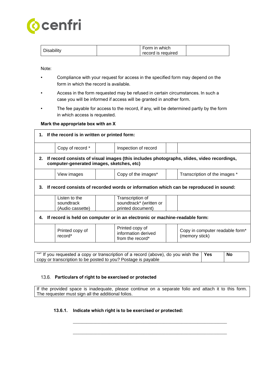

| usabılıtv | `-orm in which⊹ |                    |
|-----------|-----------------|--------------------|
|           |                 | record is required |

Note:

- Compliance with your request for access in the specified form may depend on the form in which the record is available.
- Access in the form requested may be refused in certain circumstances. In such a case you will be informed if access will be granted in another form.
- The fee payable for access to the record, if any, will be determined partly by the form in which access is requested.

#### **Mark the appropriate box with an X**

|                                                                                                                                              | 1. If the record is in written or printed form: |                                                                  |                                                   |  |
|----------------------------------------------------------------------------------------------------------------------------------------------|-------------------------------------------------|------------------------------------------------------------------|---------------------------------------------------|--|
|                                                                                                                                              | Copy of record *                                | Inspection of record                                             |                                                   |  |
| If record consists of visual images (this includes photographs, slides, video recordings,<br>2.<br>computer-generated images, sketches, etc) |                                                 |                                                                  |                                                   |  |
|                                                                                                                                              | View images                                     | Copy of the images*                                              | Transcription of the images *                     |  |
| If record consists of recorded words or information which can be reproduced in sound:<br>3.                                                  |                                                 |                                                                  |                                                   |  |
|                                                                                                                                              | Listen to the<br>soundtrack<br>(Audio cassette) | Transcription of<br>soundtrack* (written or<br>printed document) |                                                   |  |
| If record is held on computer or in an electronic or machine-readable form:<br>4.                                                            |                                                 |                                                                  |                                                   |  |
|                                                                                                                                              | Printed copy of<br>record*                      | Printed copy of<br>information derived<br>from the record*       | Copy in computer readable form*<br>(memory stick) |  |

"\*" If you requested a copy or transcription of a record (above), do you wish the copy or transcription to be posted to you? Postage is payable **Yes No**

#### **Particulars of right to be exercised or protected**

If the provided space is inadequate, please continue on a separate folio and attach it to this form. The requester must sign all the additional folios.

\_\_\_\_\_\_\_\_\_\_\_\_\_\_\_\_\_\_\_\_\_\_\_\_\_\_\_\_\_\_\_\_\_\_\_\_\_\_\_\_\_\_\_\_\_\_\_\_\_\_\_\_\_\_\_\_\_\_\_\_\_\_\_\_\_\_\_\_

\_\_\_\_\_\_\_\_\_\_\_\_\_\_\_\_\_\_\_\_\_\_\_\_\_\_\_\_\_\_\_\_\_\_\_\_\_\_\_\_\_\_\_\_\_\_\_\_\_\_\_\_\_\_\_\_\_\_\_\_\_\_\_\_\_\_\_\_

#### **13.6.1. Indicate which right is to be exercised or protected:**